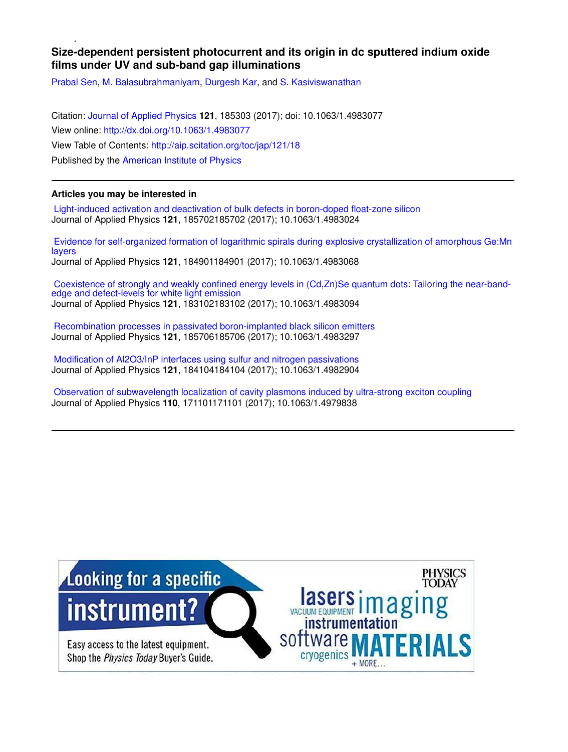# **Size-dependent persistent photocurrent and its origin in dc sputtered indium oxide films under UV and sub-band gap illuminations**

Prabal Sen, M. Balasubrahmaniyam, Durgesh Kar, and S. Kasiviswanathan

Citation: Journal of Applied Physics **121**, 185303 (2017); doi: 10.1063/1.4983077 View online: http://dx.doi.org/10.1063/1.4983077 View Table of Contents: http://aip.scitation.org/toc/jap/121/18 Published by the American Institute of Physics

# **Articles you may be interested in**

 Light-induced activation and deactivation of bulk defects in boron-doped float-zone silicon Journal of Applied Physics **121**, 185702185702 (2017); 10.1063/1.4983024

 Evidence for self-organized formation of logarithmic spirals during explosive crystallization of amorphous Ge:Mn layers Journal of Applied Physics **121**, 184901184901 (2017); 10.1063/1.4983068

 Coexistence of strongly and weakly confined energy levels in (Cd,Zn)Se quantum dots: Tailoring the near-bandedge and defect-levels for white light emission Journal of Applied Physics **121**, 183102183102 (2017); 10.1063/1.4983094

 Recombination processes in passivated boron-implanted black silicon emitters Journal of Applied Physics **121**, 185706185706 (2017); 10.1063/1.4983297

 Modification of Al2O3/InP interfaces using sulfur and nitrogen passivations Journal of Applied Physics **121**, 184104184104 (2017); 10.1063/1.4982904

 Observation of subwavelength localization of cavity plasmons induced by ultra-strong exciton coupling Journal of Applied Physics **110**, 171101171101 (2017); 10.1063/1.4979838

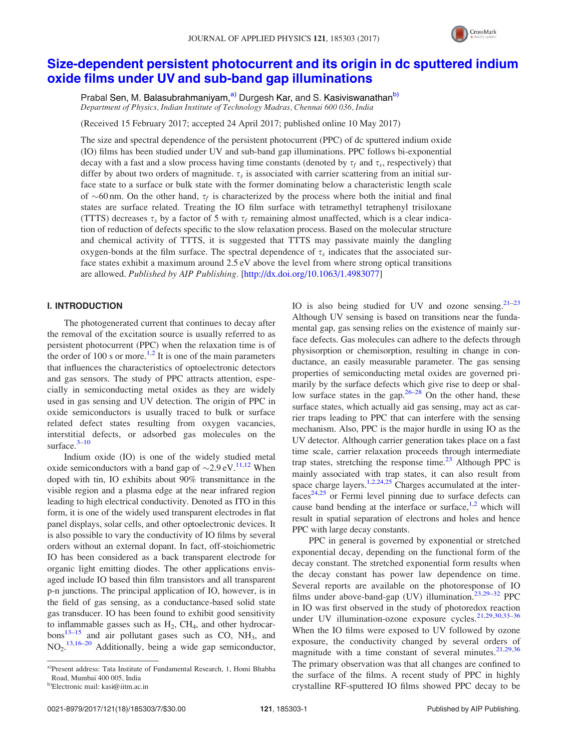

# Size-dependent persistent photocurrent and its origin in dc sputtered indium oxide films under UV and sub-band gap illuminations

Prabal Sen, M. Balasubrahmaniyam,<sup>a)</sup> Durgesh Kar, and S. Kasiviswanathan<sup>b)</sup> *Department of Physics, Indian Institute of Technology Madras, Chennai 600 036, India*

(Received 15 February 2017; accepted 24 April 2017; published online 10 May 2017)

The size and spectral dependence of the persistent photocurrent (PPC) of dc sputtered indium oxide (IO) films has been studied under UV and sub-band gap illuminations. PPC follows bi-exponential decay with a fast and a slow process having time constants (denoted by  $\tau_f$  and  $\tau_s$ , respectively) that differ by about two orders of magnitude.  $\tau_s$  is associated with carrier scattering from an initial surface state to a surface or bulk state with the former dominating below a characteristic length scale of  $\sim$ 60 nm. On the other hand,  $\tau_f$  is characterized by the process where both the initial and final states are surface related. Treating the IO film surface with tetramethyl tetraphenyl trisiloxane (TTTS) decreases  $\tau_s$  by a factor of 5 with  $\tau_f$  remaining almost unaffected, which is a clear indication of reduction of defects specific to the slow relaxation process. Based on the molecular structure and chemical activity of TTTS, it is suggested that TTTS may passivate mainly the dangling oxygen-bonds at the film surface. The spectral dependence of  $\tau_s$  indicates that the associated surface states exhibit a maximum around 2.5 eV above the level from where strong optical transitions are allowed. *Published by AIP Publishing.* [http://dx.doi.org/10.1063/1.4983077]

# I. INTRODUCTION

The photogenerated current that continues to decay after the removal of the excitation source is usually referred to as persistent photocurrent (PPC) when the relaxation time is of the order of 100 s or more.<sup>1,2</sup> It is one of the main parameters that influences the characteristics of optoelectronic detectors and gas sensors. The study of PPC attracts attention, especially in semiconducting metal oxides as they are widely used in gas sensing and UV detection. The origin of PPC in oxide semiconductors is usually traced to bulk or surface related defect states resulting from oxygen vacancies, interstitial defects, or adsorbed gas molecules on the surface.<sup>3-10</sup>

Indium oxide (IO) is one of the widely studied metal oxide semiconductors with a band gap of  $\sim 2.9 \text{ eV}$ .<sup>11,12</sup> When doped with tin, IO exhibits about 90% transmittance in the visible region and a plasma edge at the near infrared region leading to high electrical conductivity. Denoted as ITO in this form, it is one of the widely used transparent electrodes in flat panel displays, solar cells, and other optoelectronic devices. It is also possible to vary the conductivity of IO films by several orders without an external dopant. In fact, off-stoichiometric IO has been considered as a back transparent electrode for organic light emitting diodes. The other applications envisaged include IO based thin film transistors and all transparent p-n junctions. The principal application of IO, however, is in the field of gas sensing, as a conductance-based solid state gas transducer. IO has been found to exhibit good sensitivity to inflammable gasses such as  $H_2$ , CH<sub>4</sub>, and other hydrocarbons<sup>13-15</sup> and air pollutant gases such as CO,  $NH_3$ , and NO<sub>2</sub>.<sup>13,16–20</sup> Additionally, being a wide gap semiconductor, IO is also being studied for UV and ozone sensing. $21-23$ Although UV sensing is based on transitions near the fundamental gap, gas sensing relies on the existence of mainly surface defects. Gas molecules can adhere to the defects through physisorption or chemisorption, resulting in change in conductance, an easily measurable parameter. The gas sensing properties of semiconducting metal oxides are governed primarily by the surface defects which give rise to deep or shallow surface states in the gap. $26-28$  On the other hand, these surface states, which actually aid gas sensing, may act as carrier traps leading to PPC that can interfere with the sensing mechanism. Also, PPC is the major hurdle in using IO as the UV detector. Although carrier generation takes place on a fast time scale, carrier relaxation proceeds through intermediate trap states, stretching the response time. $2<sup>3</sup>$  Although PPC is mainly associated with trap states, it can also result from space charge layers.<sup>1,2,24,25</sup> Charges accumulated at the inter $faces<sup>24,25</sup>$  or Fermi level pinning due to surface defects can cause band bending at the interface or surface, $1,2$  which will result in spatial separation of electrons and holes and hence PPC with large decay constants.

PPC in general is governed by exponential or stretched exponential decay, depending on the functional form of the decay constant. The stretched exponential form results when the decay constant has power law dependence on time. Several reports are available on the photoresponse of IO films under above-band-gap (UV) illumination.<sup>23,29–32</sup> PPC in IO was first observed in the study of photoredox reaction under UV illumination-ozone exposure cycles.<sup>21,29,30,33-36</sup> When the IO films were exposed to UV followed by ozone exposure, the conductivity changed by several orders of magnitude with a time constant of several minutes.  $21,29,36$ The primary observation was that all changes are confined to the surface of the films. A recent study of PPC in highly crystalline RF-sputtered IO films showed PPC decay to be

a)Present address: Tata Institute of Fundamental Research, 1, Homi Bhabha Road, Mumbai 400 005, India

b)Electronic mail: kasi@iitm.ac.in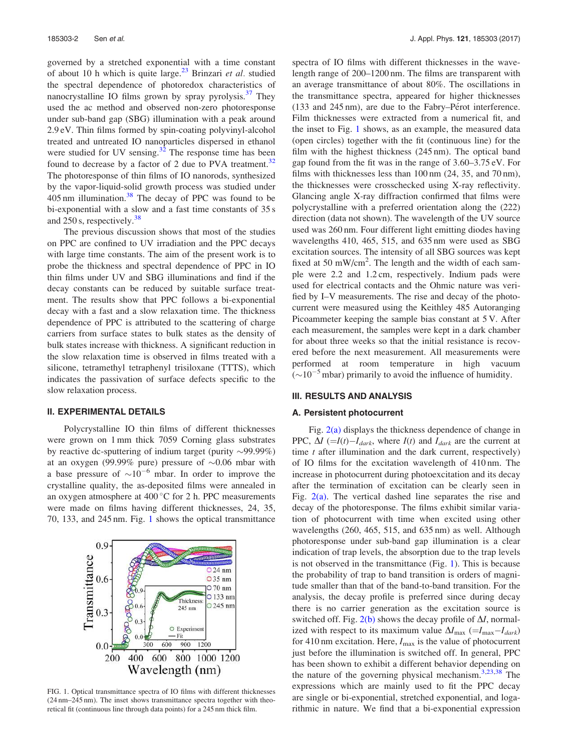governed by a stretched exponential with a time constant of about 10 h which is quite large.<sup>23</sup> Brinzari *et al.* studied the spectral dependence of photoredox characteristics of nanocrystalline IO films grown by spray pyrolysis.<sup>37</sup> They used the ac method and observed non-zero photoresponse under sub-band gap (SBG) illumination with a peak around 2.9 eV. Thin films formed by spin-coating polyvinyl-alcohol treated and untreated IO nanoparticles dispersed in ethanol were studied for UV sensing. $32$  The response time has been found to decrease by a factor of 2 due to PVA treatment.<sup>32</sup> The photoresponse of thin films of IO nanorods, synthesized by the vapor-liquid-solid growth process was studied under  $405 \text{ nm}$  illumination.<sup>38</sup> The decay of PPC was found to be bi-exponential with a slow and a fast time constants of 35 s and 250 s, respectively. $38$ 

The previous discussion shows that most of the studies on PPC are confined to UV irradiation and the PPC decays with large time constants. The aim of the present work is to probe the thickness and spectral dependence of PPC in IO thin films under UV and SBG illuminations and find if the decay constants can be reduced by suitable surface treatment. The results show that PPC follows a bi-exponential decay with a fast and a slow relaxation time. The thickness dependence of PPC is attributed to the scattering of charge carriers from surface states to bulk states as the density of bulk states increase with thickness. A significant reduction in the slow relaxation time is observed in films treated with a silicone, tetramethyl tetraphenyl trisiloxane (TTTS), which indicates the passivation of surface defects specific to the slow relaxation process.

## II. EXPERIMENTAL DETAILS

Polycrystalline IO thin films of different thicknesses were grown on 1 mm thick 7059 Corning glass substrates by reactive dc-sputtering of indium target (purity  $\sim$ 99.99%) at an oxygen (99.99% pure) pressure of  $\sim 0.06$  mbar with a base pressure of  $\sim 10^{-6}$  mbar. In order to improve the crystalline quality, the as-deposited films were annealed in an oxygen atmosphere at  $400\degree$ C for 2 h. PPC measurements were made on films having different thicknesses, 24, 35, 70, 133, and 245 nm. Fig. 1 shows the optical transmittance



FIG. 1. Optical transmittance spectra of IO films with different thicknesses (24 nm–245 nm). The inset shows transmittance spectra together with theoretical fit (continuous line through data points) for a 245 nm thick film.

spectra of IO films with different thicknesses in the wavelength range of 200–1200 nm. The films are transparent with an average transmittance of about 80%. The oscillations in the transmittance spectra, appeared for higher thicknesses  $(133 \text{ and } 245 \text{ nm})$ , are due to the Fabry–Pérot interference. Film thicknesses were extracted from a numerical fit, and the inset to Fig. 1 shows, as an example, the measured data (open circles) together with the fit (continuous line) for the film with the highest thickness (245 nm). The optical band gap found from the fit was in the range of 3.60–3.75 eV. For films with thicknesses less than 100 nm (24, 35, and 70 nm), the thicknesses were crosschecked using X-ray reflectivity. Glancing angle X-ray diffraction confirmed that films were polycrystalline with a preferred orientation along the (222) direction (data not shown). The wavelength of the UV source used was 260 nm. Four different light emitting diodes having wavelengths 410, 465, 515, and 635 nm were used as SBG excitation sources. The intensity of all SBG sources was kept fixed at 50 mW/cm<sup>2</sup>. The length and the width of each sample were 2.2 and 1.2 cm, respectively. Indium pads were used for electrical contacts and the Ohmic nature was verified by I–V measurements. The rise and decay of the photocurrent were measured using the Keithley 485 Autoranging Picoammeter keeping the sample bias constant at 5 V. After each measurement, the samples were kept in a dark chamber for about three weeks so that the initial resistance is recovered before the next measurement. All measurements were performed at room temperature in high vacuum  $(\sim 10^{-5}$  mbar) primarily to avoid the influence of humidity.

## III. RESULTS AND ANALYSIS

#### A. Persistent photocurrent

Fig.  $2(a)$  displays the thickness dependence of change in PPC,  $\Delta I$  (=*I*(*t*)–*I*<sub>*dark*</sub>, where *I*(*t*) and *I*<sub>*dark*</sub> are the current at time *t* after illumination and the dark current, respectively) of IO films for the excitation wavelength of 410 nm. The increase in photocurrent during photoexcitation and its decay after the termination of excitation can be clearly seen in Fig.  $2(a)$ . The vertical dashed line separates the rise and decay of the photoresponse. The films exhibit similar variation of photocurrent with time when excited using other wavelengths (260, 465, 515, and 635 nm) as well. Although photoresponse under sub-band gap illumination is a clear indication of trap levels, the absorption due to the trap levels is not observed in the transmittance (Fig. 1). This is because the probability of trap to band transition is orders of magnitude smaller than that of the band-to-band transition. For the analysis, the decay profile is preferred since during decay there is no carrier generation as the excitation source is switched off. Fig.  $2(b)$  shows the decay profile of  $\Delta I$ , normalized with respect to its maximum value  $\Delta I_{\text{max}}$  (= $I_{\text{max}}-I_{\text{dark}}$ ) for 410 nm excitation. Here,  $I_{\text{max}}$  is the value of photocurrent just before the illumination is switched off. In general, PPC has been shown to exhibit a different behavior depending on the nature of the governing physical mechanism. $3,23,38$  The expressions which are mainly used to fit the PPC decay are single or bi-exponential, stretched exponential, and logarithmic in nature. We find that a bi-exponential expression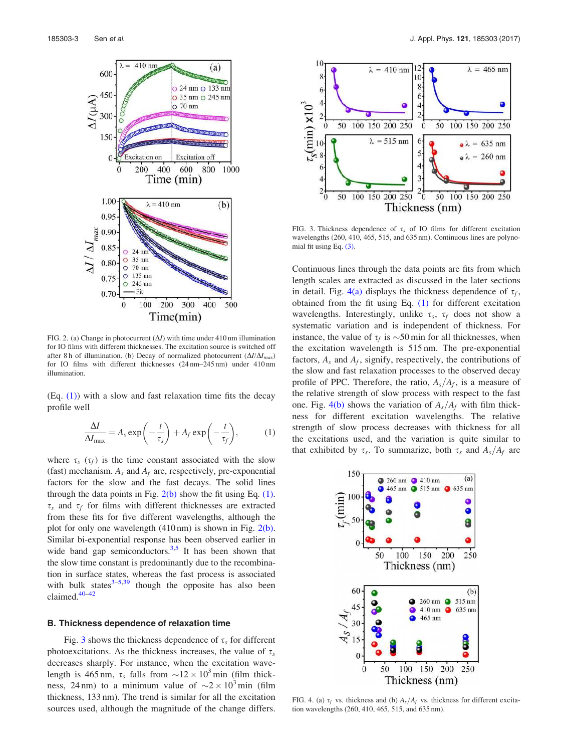

FIG. 2. (a) Change in photocurrent  $(\Delta I)$  with time under 410 nm illumination for IO films with different thicknesses. The excitation source is switched off after 8 h of illumination. (b) Decay of normalized photocurrent  $(\Delta I/\Delta I_{max})$ for IO films with different thicknesses (24 nm–245 nm) under 410 nm illumination.

 $(Eq. (1))$  with a slow and fast relaxation time fits the decay profile well

$$
\frac{\Delta I}{\Delta I_{\text{max}}} = A_s \exp\left(-\frac{t}{\tau_s}\right) + A_f \exp\left(-\frac{t}{\tau_f}\right),\tag{1}
$$

where  $\tau_s$  ( $\tau_f$ ) is the time constant associated with the slow (fast) mechanism.  $A_s$  and  $A_f$  are, respectively, pre-exponential factors for the slow and the fast decays. The solid lines through the data points in Fig.  $2(b)$  show the fit using Eq. (1).  $\tau_s$  and  $\tau_f$  for films with different thicknesses are extracted from these fits for five different wavelengths, although the plot for only one wavelength  $(410 \text{ nm})$  is shown in Fig.  $2(b)$ . Similar bi-exponential response has been observed earlier in wide band gap semiconductors. $3,5$  It has been shown that the slow time constant is predominantly due to the recombination in surface states, whereas the fast process is associated with bulk states $3-5,39$  though the opposite has also been claimed.40–42

#### B. Thickness dependence of relaxation time

Fig. 3 shows the thickness dependence of  $\tau_s$  for different photoexcitations. As the thickness increases, the value of  $\tau_s$ decreases sharply. For instance, when the excitation wavelength is 465 nm,  $\tau_s$  falls from  $\sim$  12  $\times$  10<sup>3</sup> min (film thickness, 24 nm) to a minimum value of  $\sim$  2  $\times$  10<sup>3</sup> min (film thickness, 133 nm). The trend is similar for all the excitation sources used, although the magnitude of the change differs.



FIG. 3. Thickness dependence of  $\tau_s$  of IO films for different excitation wavelengths (260, 410, 465, 515, and 635 nm). Continuous lines are polynomial fit using Eq. (3).

Continuous lines through the data points are fits from which length scales are extracted as discussed in the later sections in detail. Fig.  $4(a)$  displays the thickness dependence of  $\tau_f$ , obtained from the fit using Eq. (1) for different excitation wavelengths. Interestingly, unlike  $\tau_s$ ,  $\tau_f$  does not show a systematic variation and is independent of thickness. For instance, the value of  $\tau_f$  is  $\sim$ 50 min for all thicknesses, when the excitation wavelength is 515 nm. The pre-exponential factors,  $A_s$  and  $A_f$ , signify, respectively, the contributions of the slow and fast relaxation processes to the observed decay profile of PPC. Therefore, the ratio,  $A_s/A_f$ , is a measure of the relative strength of slow process with respect to the fast one. Fig. 4(b) shows the variation of  $A_s/A_f$  with film thickness for different excitation wavelengths. The relative strength of slow process decreases with thickness for all the excitations used, and the variation is quite similar to that exhibited by  $\tau_s$ . To summarize, both  $\tau_s$  and  $A_s/A_f$  are



FIG. 4. (a)  $\tau_f$  vs. thickness and (b)  $A_s/A_f$  vs. thickness for different excitation wavelengths (260, 410, 465, 515, and 635 nm).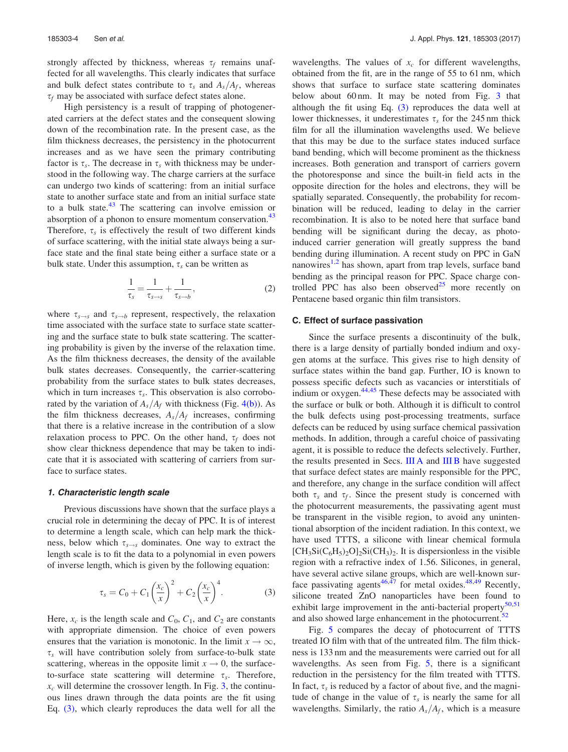strongly affected by thickness, whereas  $\tau_f$  remains unaffected for all wavelengths. This clearly indicates that surface and bulk defect states contribute to  $\tau_s$  and  $A_s/A_f$ , whereas  $\tau_f$  may be associated with surface defect states alone.

High persistency is a result of trapping of photogenerated carriers at the defect states and the consequent slowing down of the recombination rate. In the present case, as the film thickness decreases, the persistency in the photocurrent increases and as we have seen the primary contributing factor is  $\tau_s$ . The decrease in  $\tau_s$  with thickness may be understood in the following way. The charge carriers at the surface can undergo two kinds of scattering: from an initial surface state to another surface state and from an initial surface state to a bulk state. $43$  The scattering can involve emission or absorption of a phonon to ensure momentum conservation.<sup>43</sup> Therefore,  $\tau_s$  is effectively the result of two different kinds of surface scattering, with the initial state always being a surface state and the final state being either a surface state or a bulk state. Under this assumption,  $\tau_s$  can be written as

$$
\frac{1}{\tau_s} = \frac{1}{\tau_{s \to s}} + \frac{1}{\tau_{s \to b}},\tag{2}
$$

where  $\tau_{s \to s}$  and  $\tau_{s \to b}$  represent, respectively, the relaxation time associated with the surface state to surface state scattering and the surface state to bulk state scattering. The scattering probability is given by the inverse of the relaxation time. As the film thickness decreases, the density of the available bulk states decreases. Consequently, the carrier-scattering probability from the surface states to bulk states decreases, which in turn increases  $\tau_s$ . This observation is also corroborated by the variation of  $A_s/A_f$  with thickness (Fig. 4(b)). As the film thickness decreases,  $A_s/A_f$  increases, confirming that there is a relative increase in the contribution of a slow relaxation process to PPC. On the other hand,  $\tau_f$  does not show clear thickness dependence that may be taken to indicate that it is associated with scattering of carriers from surface to surface states.

## 1. Characteristic length scale

Previous discussions have shown that the surface plays a crucial role in determining the decay of PPC. It is of interest to determine a length scale, which can help mark the thickness, below which  $\tau_{s\rightarrow s}$  dominates. One way to extract the length scale is to fit the data to a polynomial in even powers of inverse length, which is given by the following equation:

$$
\tau_s = C_0 + C_1 \left(\frac{x_c}{x}\right)^2 + C_2 \left(\frac{x_c}{x}\right)^4.
$$
 (3)

Here,  $x_c$  is the length scale and  $C_0$ ,  $C_1$ , and  $C_2$  are constants with appropriate dimension. The choice of even powers ensures that the variation is monotonic. In the limit  $x \to \infty$ ,  $\tau_s$  will have contribution solely from surface-to-bulk state scattering, whereas in the opposite limit  $x \to 0$ , the surfaceto-surface state scattering will determine  $\tau_s$ . Therefore,  $x_c$  will determine the crossover length. In Fig. 3, the continuous lines drawn through the data points are the fit using Eq. (3), which clearly reproduces the data well for all the

wavelengths. The values of  $x_c$  for different wavelengths, obtained from the fit, are in the range of 55 to 61 nm, which shows that surface to surface state scattering dominates below about 60 nm. It may be noted from Fig. 3 that although the fit using Eq. (3) reproduces the data well at lower thicknesses, it underestimates  $\tau_s$  for the 245 nm thick film for all the illumination wavelengths used. We believe that this may be due to the surface states induced surface band bending, which will become prominent as the thickness increases. Both generation and transport of carriers govern the photoresponse and since the built-in field acts in the opposite direction for the holes and electrons, they will be spatially separated. Consequently, the probability for recombination will be reduced, leading to delay in the carrier recombination. It is also to be noted here that surface band bending will be significant during the decay, as photoinduced carrier generation will greatly suppress the band bending during illumination. A recent study on PPC in GaN nanowires<sup>1,2</sup> has shown, apart from trap levels, surface band bending as the principal reason for PPC. Space charge controlled PPC has also been observed $^{25}$  more recently on Pentacene based organic thin film transistors.

### C. Effect of surface passivation

Since the surface presents a discontinuity of the bulk, there is a large density of partially bonded indium and oxygen atoms at the surface. This gives rise to high density of surface states within the band gap. Further, IO is known to possess specific defects such as vacancies or interstitials of indium or oxygen. $44,45$  These defects may be associated with the surface or bulk or both. Although it is difficult to control the bulk defects using post-processing treatments, surface defects can be reduced by using surface chemical passivation methods. In addition, through a careful choice of passivating agent, it is possible to reduce the defects selectively. Further, the results presented in Secs. III A and III B have suggested that surface defect states are mainly responsible for the PPC, and therefore, any change in the surface condition will affect both  $\tau_s$  and  $\tau_f$ . Since the present study is concerned with the photocurrent measurements, the passivating agent must be transparent in the visible region, to avoid any unintentional absorption of the incident radiation. In this context, we have used TTTS, a silicone with linear chemical formula  $[CH_3Si(C_6H_5)_2O]_2Si(CH_3)_2$ . It is dispersionless in the visible region with a refractive index of 1.56. Silicones, in general, have several active silane groups, which are well-known surface passivating agents<sup>46,47</sup> for metal oxides.<sup>48,49</sup> Recently, silicone treated ZnO nanoparticles have been found to exhibit large improvement in the anti-bacterial property $50,51$ and also showed large enhancement in the photocurrent.<sup>52</sup>

Fig. 5 compares the decay of photocurrent of TTTS treated IO film with that of the untreated film. The film thickness is 133 nm and the measurements were carried out for all wavelengths. As seen from Fig. 5, there is a significant reduction in the persistency for the film treated with TTTS. In fact,  $\tau_s$  is reduced by a factor of about five, and the magnitude of change in the value of  $\tau_s$  is nearly the same for all wavelengths. Similarly, the ratio  $A_s/A_f$ , which is a measure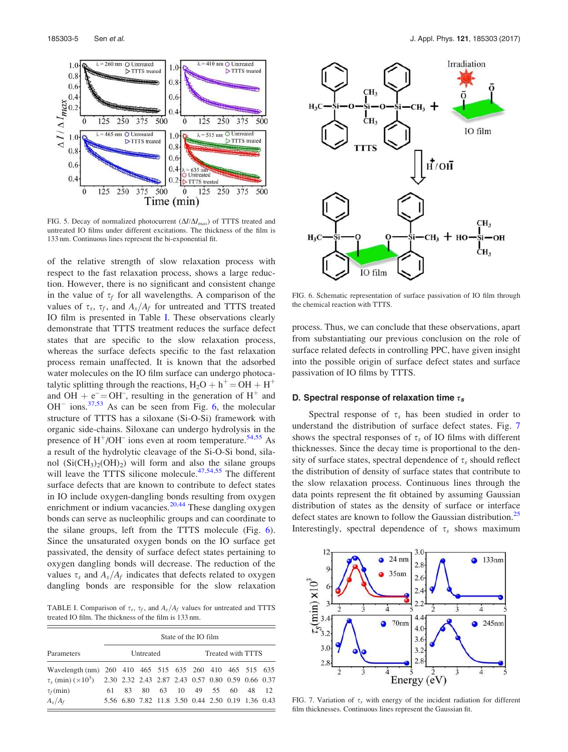

FIG. 5. Decay of normalized photocurrent  $(\Delta I/\Delta I_{max})$  of TTTS treated and untreated IO films under different excitations. The thickness of the film is 133 nm. Continuous lines represent the bi-exponential fit.

of the relative strength of slow relaxation process with respect to the fast relaxation process, shows a large reduction. However, there is no significant and consistent change in the value of  $\tau_f$  for all wavelengths. A comparison of the values of  $\tau_s$ ,  $\tau_f$ , and  $A_s/A_f$  for untreated and TTTS treated IO film is presented in Table I. These observations clearly demonstrate that TTTS treatment reduces the surface defect states that are specific to the slow relaxation process, whereas the surface defects specific to the fast relaxation process remain unaffected. It is known that the adsorbed water molecules on the IO film surface can undergo photocatalytic splitting through the reactions,  $H_2O + h^+ = OH + H^+$ and OH +  $e^- =$ OH<sup>-</sup>, resulting in the generation of H<sup>+</sup> and  $OH^-$  ions.<sup>37,53</sup> As can be seen from Fig. 6, the molecular structure of TTTS has a siloxane (Si-O-Si) framework with organic side-chains. Siloxane can undergo hydrolysis in the presence of  $H^+$ /OH<sup>–</sup> ions even at room temperature.<sup>54,55</sup> As a result of the hydrolytic cleavage of the Si-O-Si bond, silanol  $(Si(CH_3)_2(OH)_2)$  will form and also the silane groups will leave the TTTS silicone molecule. $47,54,55$  The different surface defects that are known to contribute to defect states in IO include oxygen-dangling bonds resulting from oxygen enrichment or indium vacancies. $20,44$  These dangling oxygen bonds can serve as nucleophilic groups and can coordinate to the silane groups, left from the TTTS molecule (Fig. 6). Since the unsaturated oxygen bonds on the IO surface get passivated, the density of surface defect states pertaining to oxygen dangling bonds will decrease. The reduction of the values  $\tau_s$  and  $A_s/A_f$  indicates that defects related to oxygen dangling bonds are responsible for the slow relaxation

TABLE I. Comparison of  $\tau_s$ ,  $\tau_f$ , and  $A_s/A_f$  values for untreated and TTTS treated IO film. The thickness of the film is 133 nm.

|                                                                                  | State of the IO film |           |  |                                                   |  |  |                   |  |  |  |  |
|----------------------------------------------------------------------------------|----------------------|-----------|--|---------------------------------------------------|--|--|-------------------|--|--|--|--|
| Parameters                                                                       |                      | Untreated |  |                                                   |  |  | Treated with TTTS |  |  |  |  |
| Wavelength (nm) 260 410 465 515 635 260 410 465 515 635                          |                      |           |  |                                                   |  |  |                   |  |  |  |  |
| $\tau_s$ (min) $(\times 10^3)$ 2.30 2.32 2.43 2.87 2.43 0.57 0.80 0.59 0.66 0.37 |                      |           |  |                                                   |  |  |                   |  |  |  |  |
| $\tau_f(\text{min})$                                                             | 61.                  |           |  | 83 80 63 10 49 55 60 48 12                        |  |  |                   |  |  |  |  |
| $A_s/A_f$                                                                        |                      |           |  | 5.56 6.80 7.82 11.8 3.50 0.44 2.50 0.19 1.36 0.43 |  |  |                   |  |  |  |  |



FIG. 6. Schematic representation of surface passivation of IO film through the chemical reaction with TTTS.

process. Thus, we can conclude that these observations, apart from substantiating our previous conclusion on the role of surface related defects in controlling PPC, have given insight into the possible origin of surface defect states and surface passivation of IO films by TTTS.

## D. Spectral response of relaxation time  $\tau_s$

Spectral response of  $\tau_s$  has been studied in order to understand the distribution of surface defect states. Fig. 7 shows the spectral responses of  $\tau_s$  of IO films with different thicknesses. Since the decay time is proportional to the density of surface states, spectral dependence of  $\tau_s$  should reflect the distribution of density of surface states that contribute to the slow relaxation process. Continuous lines through the data points represent the fit obtained by assuming Gaussian distribution of states as the density of surface or interface defect states are known to follow the Gaussian distribution.<sup>25</sup> Interestingly, spectral dependence of  $\tau_s$  shows maximum



FIG. 7. Variation of  $\tau_s$  with energy of the incident radiation for different film thicknesses. Continuous lines represent the Gaussian fit.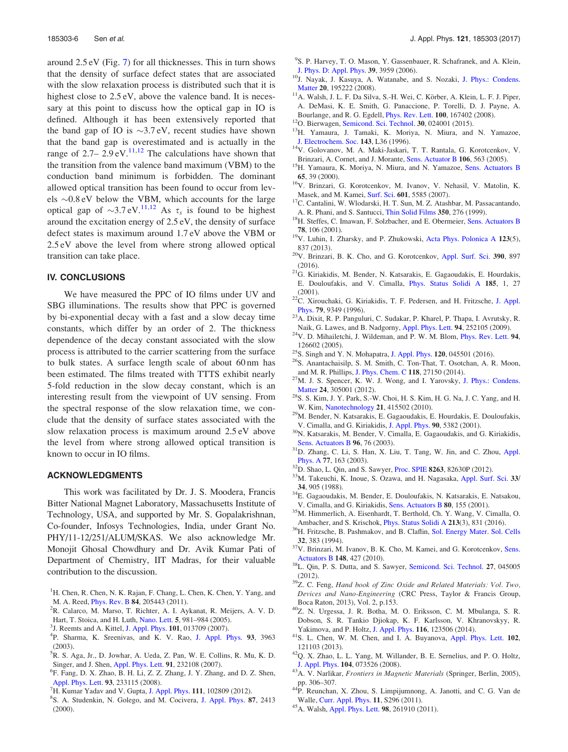around 2.5 eV (Fig. 7) for all thicknesses. This in turn shows that the density of surface defect states that are associated with the slow relaxation process is distributed such that it is highest close to  $2.5 \text{ eV}$ , above the valence band. It is necessary at this point to discuss how the optical gap in IO is defined. Although it has been extensively reported that the band gap of IO is  $\sim$ 3.7 eV, recent studies have shown that the band gap is overestimated and is actually in the range of  $2.7- 2.9 \text{ eV}$ .<sup>11,12</sup> The calculations have shown that the transition from the valence band maximum (VBM) to the conduction band minimum is forbidden. The dominant allowed optical transition has been found to occur from levels  $\sim 0.8$  eV below the VBM, which accounts for the large optical gap of  $\sim 3.7 \text{ eV}$ .<sup>11,12</sup> As  $\tau_s$  is found to be highest around the excitation energy of 2.5 eV, the density of surface defect states is maximum around 1.7 eV above the VBM or 2.5 eV above the level from where strong allowed optical transition can take place.

## IV. CONCLUSIONS

We have measured the PPC of IO films under UV and SBG illuminations. The results show that PPC is governed by bi-exponential decay with a fast and a slow decay time constants, which differ by an order of 2. The thickness dependence of the decay constant associated with the slow process is attributed to the carrier scattering from the surface to bulk states. A surface length scale of about 60 nm has been estimated. The films treated with TTTS exhibit nearly 5-fold reduction in the slow decay constant, which is an interesting result from the viewpoint of UV sensing. From the spectral response of the slow relaxation time, we conclude that the density of surface states associated with the slow relaxation process is maximum around 2.5 eV above the level from where strong allowed optical transition is known to occur in IO films.

### ACKNOWLEDGMENTS

This work was facilitated by Dr. J. S. Moodera, Francis Bitter National Magnet Laboratory, Massachusetts Institute of Technology, USA, and supported by Mr. S. Gopalakrishnan, Co-founder, Infosys Technologies, India, under Grant No. PHY/11-12/251/ALUM/SKAS. We also acknowledge Mr. Monojit Ghosal Chowdhury and Dr. Avik Kumar Pati of Department of Chemistry, IIT Madras, for their valuable contribution to the discussion.

- <sup>1</sup>H. Chen, R. Chen, N. K. Rajan, F. Chang, L. Chen, K. Chen, Y. Yang, and M. A. Reed, Phys. Rev. B 84, 205443 (2011).
- <sup>2</sup>R. Calarco, M. Marso, T. Richter, A. I. Aykanat, R. Meijers, A. V. D. Hart, T. Stoica, and H. Luth, Nano. Lett. 5, 981–984 (2005).
- <sup>3</sup>J. Reemts and A. Kittel, J. Appl. Phys. 101, 013709 (2007).
- 4 P. Sharma, K. Sreenivas, and K. V. Rao, J. Appl. Phys. 93, 3963 (2003).
- <sup>5</sup>R. S. Aga, Jr., D. Jowhar, A. Ueda, Z. Pan, W. E. Collins, R. Mu, K. D. Singer, and J. Shen, Appl. Phys. Lett. 91, 232108 (2007).
- 6 F. Fang, D. X. Zhao, B. H. Li, Z. Z. Zhang, J. Y. Zhang, and D. Z. Shen, Appl. Phys. Lett. 93, 233115 (2008).
- <sup>7</sup>H. Kumar Yadav and V. Gupta, J. Appl. Phys. 111, 102809 (2012).
- 8 S. A. Studenkin, N. Golego, and M. Cocivera, J. Appl. Phys. 87, 2413 (2000).
- <sup>9</sup>S. P. Harvey, T. O. Mason, Y. Gassenbauer, R. Schafranek, and A. Klein, J. Phys. D: Appl. Phys. 39, 3959 (2006).
- <sup>10</sup>J. Nayak, J. Kasuya, A. Watanabe, and S. Nozaki, J. Phys.: Condens. Matter 20, 195222 (2008).
- $11$ A. Walsh, J. L. F. Da Silva, S.-H. Wei, C. Körber, A. Klein, L. F. J. Piper, A. DeMasi, K. E. Smith, G. Panaccione, P. Torelli, D. J. Payne, A. Bourlange, and R. G. Egdell, Phys. Rev. Lett. 100, 167402 (2008).
- <sup>12</sup>O. Bierwagen, Semicond. Sci. Technol. 30, 024001 (2015).
- <sup>13</sup>H. Yamaura, J. Tamaki, K. Moriya, N. Miura, and N. Yamazoe, J. Electrochem. Soc. 143, L36 (1996).
- <sup>14</sup>V. Golovanov, M. A. Maki-Jaskari, T. T. Rantala, G. Korotcenkov, V. Brinzari, A. Cornet, and J. Morante, Sens. Actuator B 106, 563 (2005).
- <sup>15</sup>H. Yamaura, K. Moriya, N. Miura, and N. Yamazoe, Sens. Actuators B 65, 39 (2000).
- <sup>16</sup>V. Brinzari, G. Korotcenkov, M. Ivanov, V. Nehasil, V. Matolin, K. Masek, and M. Kamei, Surf. Sci. 601, 5585 (2007).
- <sup>17</sup>C. Cantalini, W. Wlodarski, H. T. Sun, M. Z. Atashbar, M. Passacantando, A. R. Phani, and S. Santucci, Thin Solid Films 350, 276 (1999).
- <sup>18</sup>H. Steffes, C. Imawan, F. Solzbacher, and E. Obermeier, Sens. Actuators B 78, 106 (2001).
- <sup>19</sup>V. Luhin, I. Zharsky, and P. Zhukowski, Acta Phys. Polonica A 123(5), 837 (2013).
- <sup>20</sup>V. Brinzari, B. K. Cho, and G. Korotcenkov, Appl. Surf. Sci. 390, 897 (2016).
- <sup>21</sup>G. Kiriakidis, M. Bender, N. Katsarakis, E. Gagaoudakis, E. Hourdakis, E. Douloufakis, and V. Cimalla, Phys. Status Solidi A 185, 1, 27 (2001).
- $22$ C. Xirouchaki, G. Kiriakidis, T. F. Pedersen, and H. Fritzsche, J. Appl. Phys. 79, 9349 (1996).
- <sup>23</sup>A. Dixit, R. P. Panguluri, C. Sudakar, P. Kharel, P. Thapa, I. Avrutsky, R. Naik, G. Lawes, and B. Nadgorny, Appl. Phys. Lett. 94, 252105 (2009).
- <sup>24</sup>V. D. Mihailetchi, J. Wildeman, and P. W. M. Blom, Phys. Rev. Lett. 94, 126602 (2005).
- <sup>25</sup>S. Singh and Y. N. Mohapatra, J. Appl. Phys. 120, 045501 (2016).
- <sup>26</sup>S. Anantachaisilp, S. M. Smith, C. Ton-That, T. Osotchan, A. R. Moon, and M. R. Phillips, J. Phys. Chem. C 118, 27150 (2014).
- <sup>27</sup>M. J. S. Spencer, K. W. J. Wong, and I. Yarovsky, J. Phys.: Condens. Matter 24, 305001 (2012).
- <sup>28</sup>S. S. Kim, J. Y. Park, S.-W. Choi, H. S. Kim, H. G. Na, J. C. Yang, and H. W. Kim, Nanotechnology 21, 415502 (2010).
- <sup>29</sup>M. Bender, N. Katsarakis, E. Gagaoudakis, E. Hourdakis, E. Douloufakis, V. Cimalla, and G. Kiriakidis, J. Appl. Phys. 90, 5382 (2001).
- <sup>30</sup>N. Katsarakis, M. Bender, V. Cimalla, E. Gagaoudakis, and G. Kiriakidis, Sens. Actuators B 96, 76 (2003).
- <sup>31</sup>D. Zhang, C. Li, S. Han, X. Liu, T. Tang, W. Jin, and C. Zhou, Appl. Phys. A 77, 163 (2003).
- <sup>32</sup>D. Shao, L. Qin, and S. Sawyer, Proc. SPIE 8263, 82630P (2012).
- <sup>33</sup>M. Takeuchi, K. Inoue, S. Ozawa, and H. Nagasaka, Appl. Surf. Sci. 33/ 34, 905 (1988).
- <sup>34</sup>E. Gagaoudakis, M. Bender, E. Douloufakis, N. Katsarakis, E. Natsakou, V. Cimalla, and G. Kiriakidis, Sens. Actuators B 80, 155 (2001).
- <sup>35</sup>M. Himmerlich, A. Eisenhardt, T. Berthold, Ch. Y. Wang, V. Cimalla, O. Ambacher, and S. Krischok, Phys. Status Solidi A 213(3), 831 (2016).
- <sup>36</sup>H. Fritzsche, B. Pashmakov, and B. Claflin, Sol. Energy Mater. Sol. Cells 32, 383 (1994).
- <sup>37</sup>V. Brinzari, M. Ivanov, B. K. Cho, M. Kamei, and G. Korotcenkov, Sens. Actuators B 148, 427 (2010).
- <sup>38</sup>L. Qin, P. S. Dutta, and S. Sawyer, Semicond. Sci. Technol. 27, 045005 (2012).
- <sup>39</sup>Z. C. Feng, *Hand book of Zinc Oxide and Related Materials: Vol. Two, Devices and Nano-Engineering* (CRC Press, Taylor & Francis Group, Boca Raton, 2013), Vol. 2, p.153.
- <sup>40</sup>Z. N. Urgessa, J. R. Botha, M. O. Eriksson, C. M. Mbulanga, S. R. Dobson, S. R. Tankio Djiokap, K. F. Karlsson, V. Khranovskyy, R. Yakimova, and P. Holtz, J. Appl. Phys. 116, 123506 (2014).
- <sup>41</sup>S. L. Chen, W. M. Chen, and I. A. Buyanova, Appl. Phys. Lett. 102, 121103 (2013).
- <sup>42</sup>Q. X. Zhao, L. L. Yang, M. Willander, B. E. Sernelius, and P. O. Holtz, J. Appl. Phys. 104, 073526 (2008).
- <sup>43</sup>A. V. Narlikar, *Frontiers in Magnetic Materials* (Springer, Berlin, 2005), pp. 306–307.
- <sup>44</sup>P. Reunchan, X. Zhou, S. Limpijumnong, A. Janotti, and C. G. Van de Walle, Curr. Appl. Phys. 11, S296 (2011).
- <sup>45</sup>A. Walsh, Appl. Phys. Lett. 98, 261910 (2011).